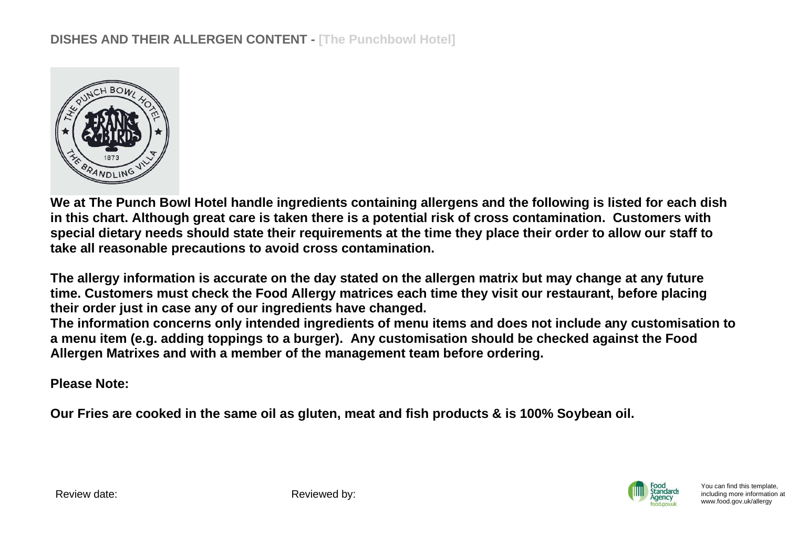

**We at The Punch Bowl Hotel handle ingredients containing allergens and the following is listed for each dish in this chart. Although great care is taken there is a potential risk of cross contamination. Customers with special dietary needs should state their requirements at the time they place their order to allow our staff to take all reasonable precautions to avoid cross contamination.**

**The allergy information is accurate on the day stated on the allergen matrix but may change at any future time. Customers must check the Food Allergy matrices each time they visit our restaurant, before placing their order just in case any of our ingredients have changed.**

**The information concerns only intended ingredients of menu items and does not include any customisation to a menu item (e.g. adding toppings to a burger). Any customisation should be checked against the Food Allergen Matrixes and with a member of the management team before ordering.**

**Please Note:** 

**Our Fries are cooked in the same oil as gluten, meat and fish products & is 100% Soybean oil.**



You can find this template, including more information [at](http://www.food.gov.uk/allergy)  [www.food.gov.uk/allergy](http://www.food.gov.uk/allergy)

Review date: Reviewed by: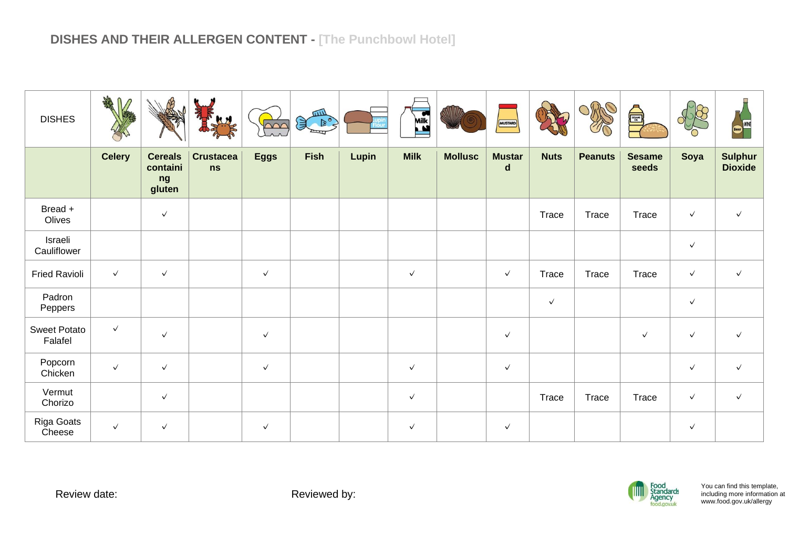| <b>DISHES</b>           | ARA<br>$\mathbb{M}$ |                                            |                        | $\sim$       | 皿山<br>$B^{\circ}$<br>美 |       | Milk         |                | MUSTARD            |              |                | <b>Alliance</b>        |              | WINE<br>Beer                     |
|-------------------------|---------------------|--------------------------------------------|------------------------|--------------|------------------------|-------|--------------|----------------|--------------------|--------------|----------------|------------------------|--------------|----------------------------------|
|                         | <b>Celery</b>       | <b>Cereals</b><br>containi<br>ng<br>gluten | <b>Crustacea</b><br>ns | <b>Eggs</b>  | <b>Fish</b>            | Lupin | <b>Milk</b>  | <b>Mollusc</b> | <b>Mustar</b><br>d | <b>Nuts</b>  | <b>Peanuts</b> | <b>Sesame</b><br>seeds | Soya         | <b>Sulphur</b><br><b>Dioxide</b> |
| Bread +<br>Olives       |                     | $\checkmark$                               |                        |              |                        |       |              |                |                    | Trace        | Trace          | Trace                  | $\checkmark$ | $\checkmark$                     |
| Israeli<br>Cauliflower  |                     |                                            |                        |              |                        |       |              |                |                    |              |                |                        | $\checkmark$ |                                  |
| <b>Fried Ravioli</b>    | $\checkmark$        | $\checkmark$                               |                        | $\checkmark$ |                        |       | $\checkmark$ |                | $\checkmark$       | Trace        | Trace          | Trace                  | $\checkmark$ | $\checkmark$                     |
| Padron<br>Peppers       |                     |                                            |                        |              |                        |       |              |                |                    | $\checkmark$ |                |                        | $\checkmark$ |                                  |
| Sweet Potato<br>Falafel | $\checkmark$        | $\checkmark$                               |                        | $\checkmark$ |                        |       |              |                | $\checkmark$       |              |                | $\checkmark$           | $\checkmark$ | $\checkmark$                     |
| Popcorn<br>Chicken      | $\checkmark$        | $\checkmark$                               |                        | $\checkmark$ |                        |       | $\checkmark$ |                | $\checkmark$       |              |                |                        | $\checkmark$ | $\checkmark$                     |
| Vermut<br>Chorizo       |                     | $\checkmark$                               |                        |              |                        |       | $\checkmark$ |                |                    | Trace        | Trace          | Trace                  | $\checkmark$ | $\checkmark$                     |
| Riga Goats<br>Cheese    | $\checkmark$        | $\checkmark$                               |                        | $\checkmark$ |                        |       | $\checkmark$ |                | $\checkmark$       |              |                |                        | $\checkmark$ |                                  |

Review date: <br> Reviewed by:

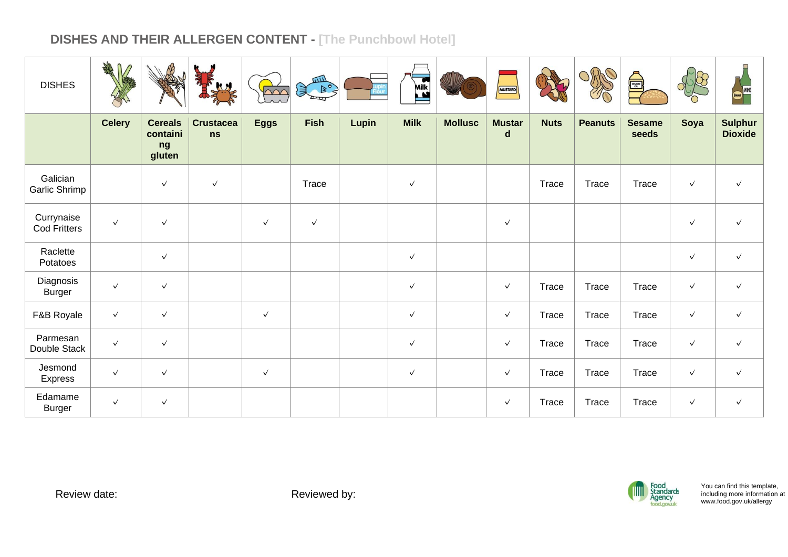| <b>DISHES</b>              | AN<br>M       | ∕∯                                         | Ky                     | $\infty$     | шIJ<br>$D^{\circ}$<br>美 |       | Milk         |                | MUSTARD            |             | OPPO           | €                      |              | WINE<br>Beer                     |
|----------------------------|---------------|--------------------------------------------|------------------------|--------------|-------------------------|-------|--------------|----------------|--------------------|-------------|----------------|------------------------|--------------|----------------------------------|
|                            | <b>Celery</b> | <b>Cereals</b><br>containi<br>ng<br>gluten | <b>Crustacea</b><br>ns | <b>Eggs</b>  | <b>Fish</b>             | Lupin | <b>Milk</b>  | <b>Mollusc</b> | <b>Mustar</b><br>d | <b>Nuts</b> | <b>Peanuts</b> | <b>Sesame</b><br>seeds | Soya         | <b>Sulphur</b><br><b>Dioxide</b> |
| Galician<br>Garlic Shrimp  |               | $\checkmark$                               | $\checkmark$           |              | Trace                   |       | $\checkmark$ |                |                    | Trace       | Trace          | Trace                  | $\checkmark$ | $\checkmark$                     |
| Currynaise<br>Cod Fritters | $\checkmark$  | $\checkmark$                               |                        | $\checkmark$ | $\checkmark$            |       |              |                | $\checkmark$       |             |                |                        | $\checkmark$ | $\checkmark$                     |
| Raclette<br>Potatoes       |               | $\checkmark$                               |                        |              |                         |       | $\checkmark$ |                |                    |             |                |                        | $\checkmark$ | $\checkmark$                     |
| Diagnosis<br><b>Burger</b> | $\checkmark$  | $\checkmark$                               |                        |              |                         |       | $\checkmark$ |                | $\checkmark$       | Trace       | Trace          | Trace                  | $\checkmark$ | $\checkmark$                     |
| F&B Royale                 | $\checkmark$  | $\checkmark$                               |                        | $\checkmark$ |                         |       | $\checkmark$ |                | $\checkmark$       | Trace       | Trace          | Trace                  | $\checkmark$ | $\checkmark$                     |
| Parmesan<br>Double Stack   | $\checkmark$  | $\checkmark$                               |                        |              |                         |       | $\checkmark$ |                | $\checkmark$       | Trace       | Trace          | Trace                  | $\checkmark$ | $\checkmark$                     |
| Jesmond<br><b>Express</b>  | $\checkmark$  | $\checkmark$                               |                        | $\checkmark$ |                         |       | $\checkmark$ |                | $\checkmark$       | Trace       | Trace          | Trace                  | $\checkmark$ | $\checkmark$                     |
| Edamame<br>Burger          | $\checkmark$  | $\checkmark$                               |                        |              |                         |       |              |                | $\checkmark$       | Trace       | Trace          | Trace                  | $\checkmark$ | $\checkmark$                     |

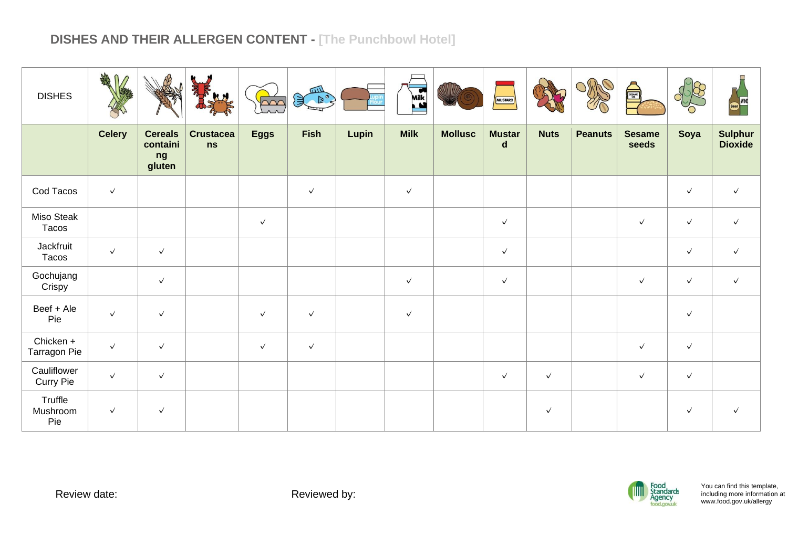| <b>DISHES</b>                   | <b>DHA</b>    |                                            |                        | $\sim$       | <b>UILL</b><br>D <sup>o</sup><br>頁 |       | Milk         |                | MUSTARD                      |              |                | <b>ASSESS</b>          |              | WINE<br>Beer                     |
|---------------------------------|---------------|--------------------------------------------|------------------------|--------------|------------------------------------|-------|--------------|----------------|------------------------------|--------------|----------------|------------------------|--------------|----------------------------------|
|                                 | <b>Celery</b> | <b>Cereals</b><br>containi<br>ng<br>gluten | <b>Crustacea</b><br>ns | <b>Eggs</b>  | <b>Fish</b>                        | Lupin | <b>Milk</b>  | <b>Mollusc</b> | <b>Mustar</b><br>$\mathbf d$ | <b>Nuts</b>  | <b>Peanuts</b> | <b>Sesame</b><br>seeds | Soya         | <b>Sulphur</b><br><b>Dioxide</b> |
| Cod Tacos                       | $\checkmark$  |                                            |                        |              | $\checkmark$                       |       | $\checkmark$ |                |                              |              |                |                        | $\checkmark$ | $\checkmark$                     |
| Miso Steak<br>Tacos             |               |                                            |                        | $\checkmark$ |                                    |       |              |                | $\checkmark$                 |              |                | $\checkmark$           | $\checkmark$ | $\checkmark$                     |
| Jackfruit<br>Tacos              | $\checkmark$  | $\checkmark$                               |                        |              |                                    |       |              |                | $\checkmark$                 |              |                |                        | $\checkmark$ | $\checkmark$                     |
| Gochujang<br>Crispy             |               | $\checkmark$                               |                        |              |                                    |       | $\checkmark$ |                | $\checkmark$                 |              |                | $\checkmark$           | $\checkmark$ | $\checkmark$                     |
| Beef + Ale<br>Pie               | $\checkmark$  | $\checkmark$                               |                        | $\checkmark$ | $\checkmark$                       |       | $\checkmark$ |                |                              |              |                |                        | $\checkmark$ |                                  |
| Chicken +<br>Tarragon Pie       | $\checkmark$  | $\checkmark$                               |                        | $\checkmark$ | $\checkmark$                       |       |              |                |                              |              |                | $\checkmark$           | $\checkmark$ |                                  |
| Cauliflower<br><b>Curry Pie</b> | $\checkmark$  | $\checkmark$                               |                        |              |                                    |       |              |                | $\checkmark$                 | $\checkmark$ |                | $\checkmark$           | $\checkmark$ |                                  |
| Truffle<br>Mushroom<br>Pie      | $\checkmark$  | $\checkmark$                               |                        |              |                                    |       |              |                |                              | $\checkmark$ |                |                        | $\checkmark$ | $\checkmark$                     |

Review date: <br> Reviewed by:

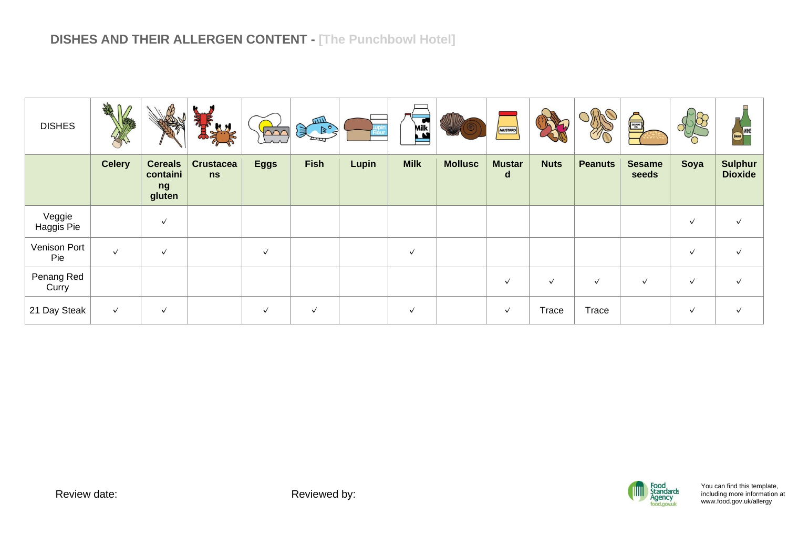| <b>DISHES</b>        | <b>SHAR</b>   |                                            |                        | $\sim$       | шIJ<br>$\left( \frac{1}{2} \right)$ |       | Milk<br>$\mathbf{M}$ |                | MUSTARD                       |              |                | <b>A</b>               |              | Beer                             |
|----------------------|---------------|--------------------------------------------|------------------------|--------------|-------------------------------------|-------|----------------------|----------------|-------------------------------|--------------|----------------|------------------------|--------------|----------------------------------|
|                      | <b>Celery</b> | <b>Cereals</b><br>containi<br>ng<br>gluten | <b>Crustacea</b><br>ns | <b>Eggs</b>  | <b>Fish</b>                         | Lupin | <b>Milk</b>          | <b>Mollusc</b> | <b>Mustar</b><br>$\mathsf{d}$ | <b>Nuts</b>  | <b>Peanuts</b> | <b>Sesame</b><br>seeds | Soya         | <b>Sulphur</b><br><b>Dioxide</b> |
| Veggie<br>Haggis Pie |               | $\checkmark$                               |                        |              |                                     |       |                      |                |                               |              |                |                        | $\checkmark$ |                                  |
| Venison Port<br>Pie  | $\checkmark$  | $\checkmark$                               |                        | $\checkmark$ |                                     |       | $\checkmark$         |                |                               |              |                |                        | $\checkmark$ |                                  |
| Penang Red<br>Curry  |               |                                            |                        |              |                                     |       |                      |                | $\checkmark$                  | $\checkmark$ | $\checkmark$   | $\checkmark$           | $\checkmark$ | √                                |
| 21 Day Steak         | $\checkmark$  | $\checkmark$                               |                        | $\checkmark$ | $\checkmark$                        |       | $\checkmark$         |                | $\checkmark$                  | Trace        | Trace          |                        | $\checkmark$ | ✓                                |

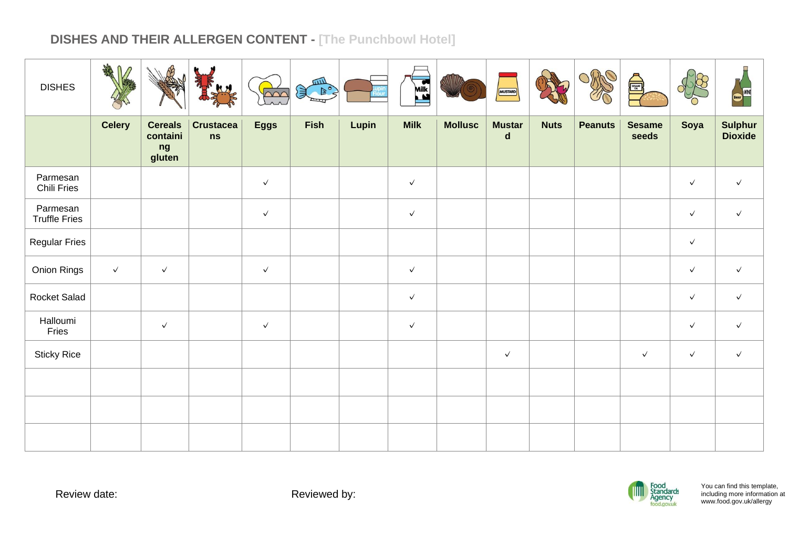| <b>DISHES</b>                    | <b>SHARD</b>  |                                            |                        | $\sim$       | $\left( \begin{array}{c} \mathbb{R}^n \ \mathbb{R}^n \end{array} \right)$ |       | Milk         |                | MUSTARD                      |             |                | SESANTE DE             |              | <b>WINE</b>                      |
|----------------------------------|---------------|--------------------------------------------|------------------------|--------------|---------------------------------------------------------------------------|-------|--------------|----------------|------------------------------|-------------|----------------|------------------------|--------------|----------------------------------|
|                                  | <b>Celery</b> | <b>Cereals</b><br>containi<br>ng<br>gluten | <b>Crustacea</b><br>ns | <b>Eggs</b>  | <b>Fish</b>                                                               | Lupin | <b>Milk</b>  | <b>Mollusc</b> | <b>Mustar</b><br>$\mathbf d$ | <b>Nuts</b> | <b>Peanuts</b> | <b>Sesame</b><br>seeds | Soya         | <b>Sulphur</b><br><b>Dioxide</b> |
| Parmesan<br>Chili Fries          |               |                                            |                        | $\checkmark$ |                                                                           |       | $\checkmark$ |                |                              |             |                |                        | $\checkmark$ | $\checkmark$                     |
| Parmesan<br><b>Truffle Fries</b> |               |                                            |                        | $\checkmark$ |                                                                           |       | $\checkmark$ |                |                              |             |                |                        | $\checkmark$ | $\checkmark$                     |
| <b>Regular Fries</b>             |               |                                            |                        |              |                                                                           |       |              |                |                              |             |                |                        | $\checkmark$ |                                  |
| Onion Rings                      | $\checkmark$  | $\checkmark$                               |                        | $\checkmark$ |                                                                           |       | $\checkmark$ |                |                              |             |                |                        | $\checkmark$ | $\checkmark$                     |
| Rocket Salad                     |               |                                            |                        |              |                                                                           |       | $\checkmark$ |                |                              |             |                |                        | $\checkmark$ | $\checkmark$                     |
| Halloumi<br>Fries                |               | $\checkmark$                               |                        | $\checkmark$ |                                                                           |       | $\checkmark$ |                |                              |             |                |                        | $\checkmark$ | $\checkmark$                     |
| <b>Sticky Rice</b>               |               |                                            |                        |              |                                                                           |       |              |                | $\checkmark$                 |             |                | $\checkmark$           | $\checkmark$ | $\checkmark$                     |
|                                  |               |                                            |                        |              |                                                                           |       |              |                |                              |             |                |                        |              |                                  |
|                                  |               |                                            |                        |              |                                                                           |       |              |                |                              |             |                |                        |              |                                  |
|                                  |               |                                            |                        |              |                                                                           |       |              |                |                              |             |                |                        |              |                                  |

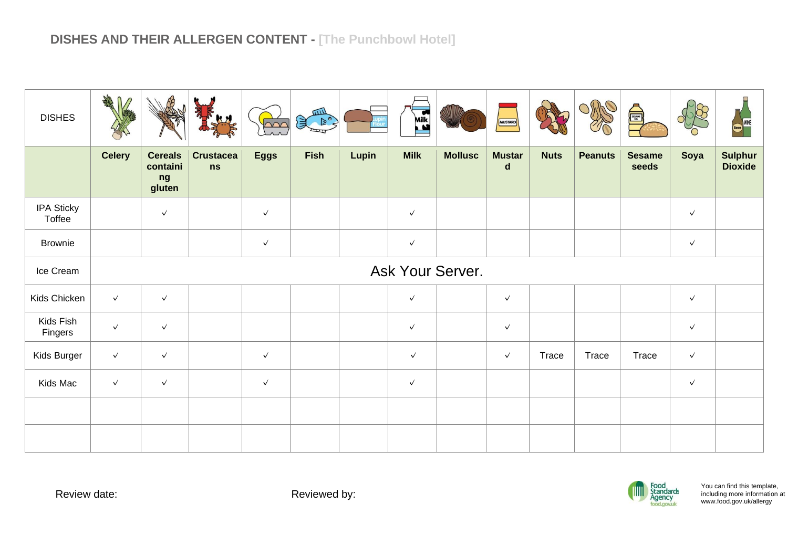| <b>DISHES</b>               | AR               |                                            |                        | $\sim$       | <b>UILL</b><br>$\begin{picture}(120,15) \put(0,0){\line(1,0){15}} \put(15,0){\line(1,0){15}} \put(15,0){\line(1,0){15}} \put(15,0){\line(1,0){15}} \put(15,0){\line(1,0){15}} \put(15,0){\line(1,0){15}} \put(15,0){\line(1,0){15}} \put(15,0){\line(1,0){15}} \put(15,0){\line(1,0){15}} \put(15,0){\line(1,0){15}} \put(15,0){\line(1,0){15}} \put(15,0){\line($<br>$\cong$ |       | Milk         |                | <b>MUSTARD</b>               |              |                | Å                      |              | WINE<br><b>Beer</b>              |
|-----------------------------|------------------|--------------------------------------------|------------------------|--------------|-------------------------------------------------------------------------------------------------------------------------------------------------------------------------------------------------------------------------------------------------------------------------------------------------------------------------------------------------------------------------------|-------|--------------|----------------|------------------------------|--------------|----------------|------------------------|--------------|----------------------------------|
|                             | <b>Celery</b>    | <b>Cereals</b><br>containi<br>ng<br>gluten | <b>Crustacea</b><br>ns | <b>Eggs</b>  | <b>Fish</b>                                                                                                                                                                                                                                                                                                                                                                   | Lupin | <b>Milk</b>  | <b>Mollusc</b> | <b>Mustar</b><br>$\mathbf d$ | <b>Nuts</b>  | <b>Peanuts</b> | <b>Sesame</b><br>seeds | Soya         | <b>Sulphur</b><br><b>Dioxide</b> |
| <b>IPA Sticky</b><br>Toffee |                  | $\checkmark$                               |                        | $\checkmark$ |                                                                                                                                                                                                                                                                                                                                                                               |       | $\checkmark$ |                |                              |              |                |                        | $\checkmark$ |                                  |
| <b>Brownie</b>              |                  |                                            |                        | $\checkmark$ |                                                                                                                                                                                                                                                                                                                                                                               |       | $\checkmark$ |                |                              |              |                |                        | $\checkmark$ |                                  |
| Ice Cream                   | Ask Your Server. |                                            |                        |              |                                                                                                                                                                                                                                                                                                                                                                               |       |              |                |                              |              |                |                        |              |                                  |
| Kids Chicken                | $\checkmark$     | $\checkmark$                               |                        |              |                                                                                                                                                                                                                                                                                                                                                                               |       | $\checkmark$ |                | $\checkmark$                 |              |                |                        | $\checkmark$ |                                  |
| Kids Fish<br>Fingers        | $\checkmark$     | $\checkmark$                               |                        |              |                                                                                                                                                                                                                                                                                                                                                                               |       | $\checkmark$ |                | $\checkmark$                 |              |                |                        | $\checkmark$ |                                  |
| Kids Burger                 | $\checkmark$     | $\checkmark$                               |                        | $\checkmark$ |                                                                                                                                                                                                                                                                                                                                                                               |       | $\checkmark$ |                | $\checkmark$                 | <b>Trace</b> | Trace          | Trace                  | $\checkmark$ |                                  |
| Kids Mac                    | $\checkmark$     | $\checkmark$                               |                        | $\checkmark$ |                                                                                                                                                                                                                                                                                                                                                                               |       | $\checkmark$ |                |                              |              |                |                        | $\checkmark$ |                                  |
|                             |                  |                                            |                        |              |                                                                                                                                                                                                                                                                                                                                                                               |       |              |                |                              |              |                |                        |              |                                  |
|                             |                  |                                            |                        |              |                                                                                                                                                                                                                                                                                                                                                                               |       |              |                |                              |              |                |                        |              |                                  |

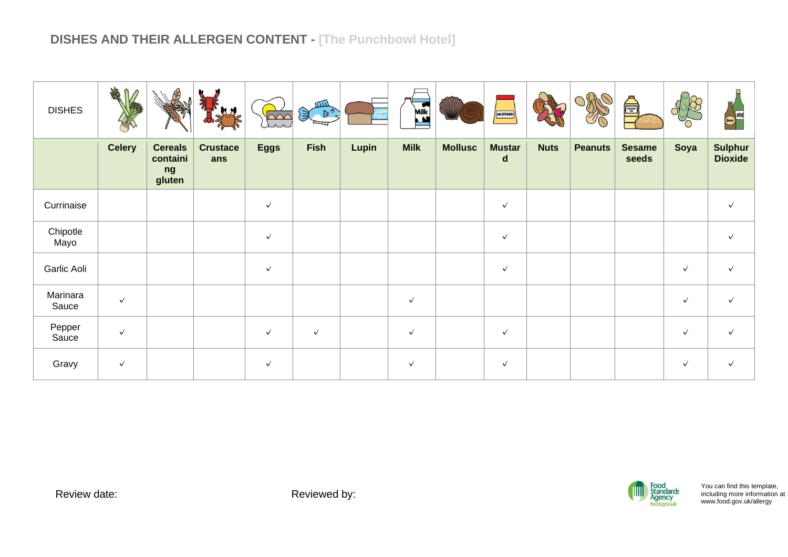| <b>DISHES</b>     | <b>SHARE</b>  |                                            |                        | $\sim$       | шIJ<br>597   |              | Milk         |                | MUSTARD            |             |                | <b>All Assets</b>      |              | WINE<br>Beer                     |
|-------------------|---------------|--------------------------------------------|------------------------|--------------|--------------|--------------|--------------|----------------|--------------------|-------------|----------------|------------------------|--------------|----------------------------------|
|                   | <b>Celery</b> | <b>Cereals</b><br>containi<br>ng<br>gluten | <b>Crustace</b><br>ans | <b>Eggs</b>  | <b>Fish</b>  | <b>Lupin</b> | <b>Milk</b>  | <b>Mollusc</b> | <b>Mustar</b><br>d | <b>Nuts</b> | <b>Peanuts</b> | <b>Sesame</b><br>seeds | Soya         | <b>Sulphur</b><br><b>Dioxide</b> |
| Currinaise        |               |                                            |                        | $\checkmark$ |              |              |              |                | $\checkmark$       |             |                |                        |              | $\checkmark$                     |
| Chipotle<br>Mayo  |               |                                            |                        | $\checkmark$ |              |              |              |                | $\checkmark$       |             |                |                        |              | $\checkmark$                     |
| Garlic Aoli       |               |                                            |                        | $\checkmark$ |              |              |              |                | $\checkmark$       |             |                |                        | $\checkmark$ | $\checkmark$                     |
| Marinara<br>Sauce | $\checkmark$  |                                            |                        |              |              |              | $\checkmark$ |                |                    |             |                |                        | $\checkmark$ | $\checkmark$                     |
| Pepper<br>Sauce   | $\checkmark$  |                                            |                        | $\checkmark$ | $\checkmark$ |              | $\checkmark$ |                | $\checkmark$       |             |                |                        | $\checkmark$ | $\checkmark$                     |
| Gravy             | $\checkmark$  |                                            |                        | $\checkmark$ |              |              | $\checkmark$ |                | $\checkmark$       |             |                |                        | $\checkmark$ | $\checkmark$                     |